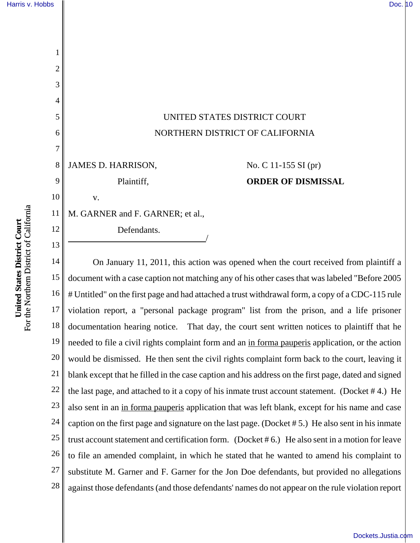1

2

3

4

5

6

7

8

9

10

12

13

## UNITED STATES DISTRICT COURT NORTHERN DISTRICT OF CALIFORNIA

JAMES D. HARRISON,

v.

No. C 11-155 SI (pr) **ORDER OF DISMISSAL** 

11 M. GARNER and F. GARNER; et al.,

Plaintiff,

Defendants.

14 15 16 17 18 19 20 21 22 23 24 25 26 27 28 On January 11, 2011, this action was opened when the court received from plaintiff a document with a case caption not matching any of his other cases that was labeled "Before 2005 # Untitled" on the first page and had attached a trust withdrawal form, a copy of a CDC-115 rule violation report, a "personal package program" list from the prison, and a life prisoner documentation hearing notice. That day, the court sent written notices to plaintiff that he needed to file a civil rights complaint form and an in forma pauperis application, or the action would be dismissed. He then sent the civil rights complaint form back to the court, leaving it blank except that he filled in the case caption and his address on the first page, dated and signed the last page, and attached to it a copy of his inmate trust account statement. (Docket # 4.) He also sent in an in forma pauperis application that was left blank, except for his name and case caption on the first page and signature on the last page. (Docket # 5.) He also sent in his inmate trust account statement and certification form. (Docket # 6.) He also sent in a motion for leave to file an amended complaint, in which he stated that he wanted to amend his complaint to substitute M. Garner and F. Garner for the Jon Doe defendants, but provided no allegations against those defendants (and those defendants' names do not appear on the rule violation report